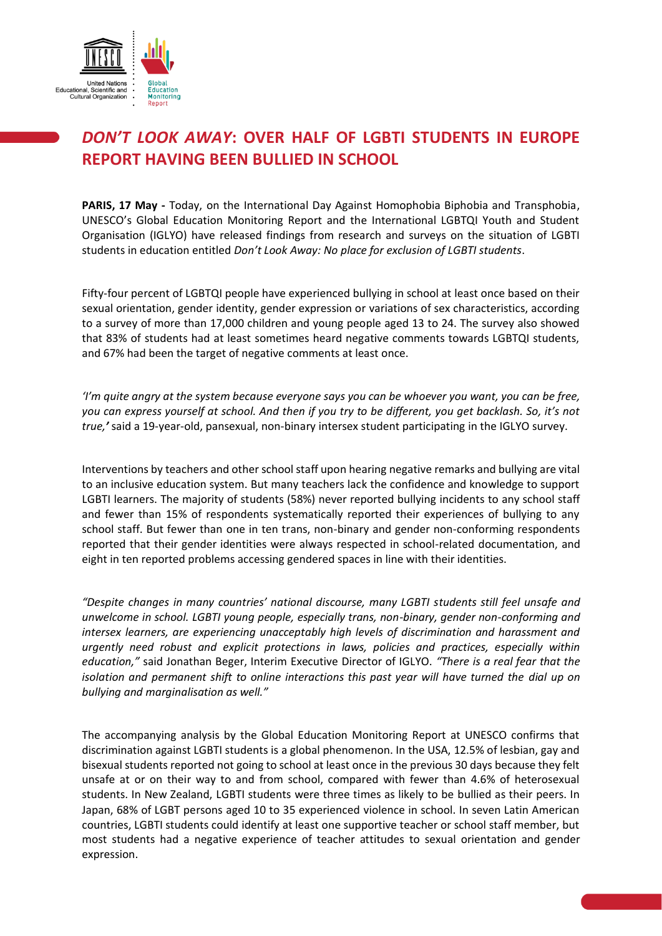

# *DON'T LOOK AWAY***: OVER HALF OF LGBTI STUDENTS IN EUROPE REPORT HAVING BEEN BULLIED IN SCHOOL**

**PARIS, 17 May -** Today, on the International Day Against Homophobia Biphobia and Transphobia, UNESCO's Global Education Monitoring Report and the International LGBTQI Youth and Student Organisation (IGLYO) have released findings from research and surveys on the situation of LGBTI students in education entitled *Don't Look Away: No place for exclusion of LGBTI students*.

Fifty-four percent of LGBTQI people have experienced bullying in school at least once based on their sexual orientation, gender identity, gender expression or variations of sex characteristics, according to a survey of more than 17,000 children and young people aged 13 to 24. The survey also showed that 83% of students had at least sometimes heard negative comments towards LGBTQI students, and 67% had been the target of negative comments at least once.

*'I'm quite angry at the system because everyone says you can be whoever you want, you can be free, you can express yourself at school. And then if you try to be different, you get backlash. So, it's not true,'* said a 19-year-old, pansexual, non-binary intersex student participating in the IGLYO survey.

Interventions by teachers and other school staff upon hearing negative remarks and bullying are vital to an inclusive education system. But many teachers lack the confidence and knowledge to support LGBTI learners. The majority of students (58%) never reported bullying incidents to any school staff and fewer than 15% of respondents systematically reported their experiences of bullying to any school staff. But fewer than one in ten trans, non-binary and gender non-conforming respondents reported that their gender identities were always respected in school-related documentation, and eight in ten reported problems accessing gendered spaces in line with their identities.

*"Despite changes in many countries' national discourse, many LGBTI students still feel unsafe and unwelcome in school. LGBTI young people, especially trans, non-binary, gender non-conforming and intersex learners, are experiencing unacceptably high levels of discrimination and harassment and urgently need robust and explicit protections in laws, policies and practices, especially within education,"* said Jonathan Beger, Interim Executive Director of IGLYO. *"There is a real fear that the isolation and permanent shift to online interactions this past year will have turned the dial up on bullying and marginalisation as well."* 

The accompanying analysis by the Global Education Monitoring Report at UNESCO confirms that discrimination against LGBTI students is a global phenomenon. In the USA, 12.5% of lesbian, gay and bisexual students reported not going to school at least once in the previous 30 days because they felt unsafe at or on their way to and from school, compared with fewer than 4.6% of heterosexual students. In New Zealand, LGBTI students were three times as likely to be bullied as their peers. In Japan, 68% of LGBT persons aged 10 to 35 experienced violence in school. In seven Latin American countries, LGBTI students could identify at least one supportive teacher or school staff member, but most students had a negative experience of teacher attitudes to sexual orientation and gender expression.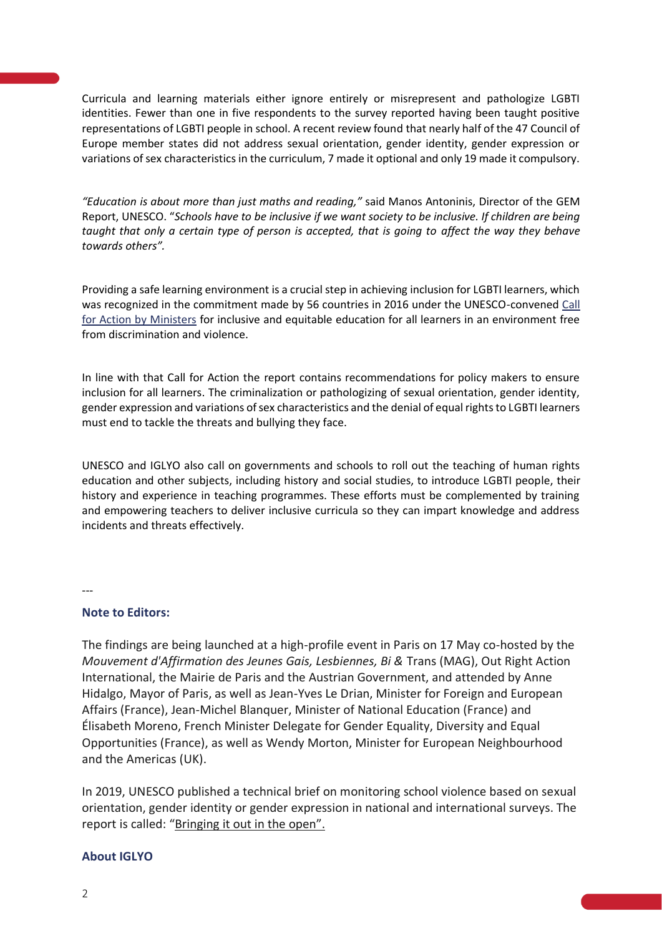Curricula and learning materials either ignore entirely or misrepresent and pathologize LGBTI identities. Fewer than one in five respondents to the survey reported having been taught positive representations of LGBTI people in school. A recent review found that nearly half of the 47 Council of Europe member states did not address sexual orientation, gender identity, gender expression or variations of sex characteristics in the curriculum, 7 made it optional and only 19 made it compulsory.

*"Education is about more than just maths and reading,"* said Manos Antoninis, Director of the GEM Report, UNESCO. "*Schools have to be inclusive if we want society to be inclusive. If children are being taught that only a certain type of person is accepted, that is going to affect the way they behave towards others".* 

Providing a safe learning environment is a crucial step in achieving inclusion for LGBTI learners, which was recognized in the commitment made by 56 countries in 2016 under the UNESCO-convened [Call](https://en.unesco.org/sites/default/files/call_for_action_2016_08_05-en.pdf)  [for Action by Ministers](https://en.unesco.org/sites/default/files/call_for_action_2016_08_05-en.pdf) for inclusive and equitable education for all learners in an environment free from discrimination and violence.

In line with that Call for Action the report contains recommendations for policy makers to ensure inclusion for all learners. The criminalization or pathologizing of sexual orientation, gender identity, gender expression and variations of sex characteristics and the denial of equal rights to LGBTI learners must end to tackle the threats and bullying they face.

UNESCO and IGLYO also call on governments and schools to roll out the teaching of human rights education and other subjects, including history and social studies, to introduce LGBTI people, their history and experience in teaching programmes. These efforts must be complemented by training and empowering teachers to deliver inclusive curricula so they can impart knowledge and address incidents and threats effectively.

---

## **Note to Editors:**

The findings are being launched at a high-profile event in Paris on 17 May co-hosted by the *Mouvement d'Affirmation des Jeunes Gais, Lesbiennes, Bi &* Trans (MAG), Out Right Action International, the Mairie de Paris and the Austrian Government, and attended by Anne Hidalgo, Mayor of Paris, as well as Jean-Yves Le Drian, Minister for Foreign and European Affairs (France), Jean-Michel Blanquer, Minister of National Education (France) and Élisabeth Moreno, French Minister Delegate for Gender Equality, Diversity and Equal Opportunities (France), as well as Wendy Morton, Minister for European Neighbourhood and the Americas (UK).

In 2019, UNESCO published a technical brief on monitoring school violence based on sexual orientation, gender identity or gender expression in national and international surveys. The report is called: ["Bringing it out in the open".](https://unesdoc.unesco.org/ark:/48223/pf0000367493)

## **About IGLYO**